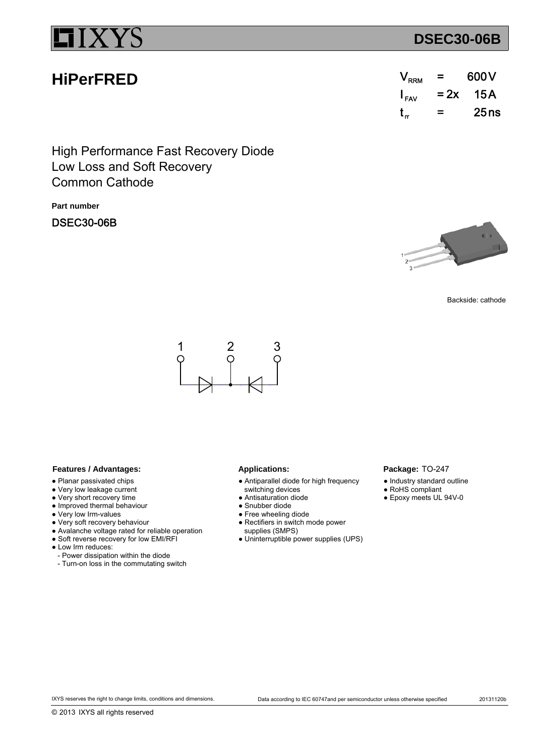**HiPerFRED**

### **DSEC30-06B**

| V <sub>RRM</sub> | =        | 600V  |  |  |
|------------------|----------|-------|--|--|
| $I_{\sf{FAV}}$   | $= 2x$   | - 15A |  |  |
| $t_{\pi}$        | $\equiv$ | 25ns  |  |  |

Low Loss and Soft Recovery High Performance Fast Recovery Diode Common Cathode

**Part number**

DSEC30-06B



Package: TO-247 ● Industry standard outline ● RoHS compliant ● Epoxy meets UL 94V-0

Backside: cathode



### Features / Advantages: Applications:

- Planar passivated chips
- Very low leakage current
- Very short recovery time
- Improved thermal behaviour
- Very low Irm-values
- Very soft recovery behaviour
- Avalanche voltage rated for reliable operation • Soft reverse recovery for low EMI/RFI
- Low Irm reduces:
	- Power dissipation within the diode
- Turn-on loss in the commutating switch

- Antiparallel diode for high frequency
- switching devices
- Antisaturation diode
- Snubber diode
- Free wheeling diode ● Rectifiers in switch mode power
- supplies (SMPS)
- Uninterruptible power supplies (UPS)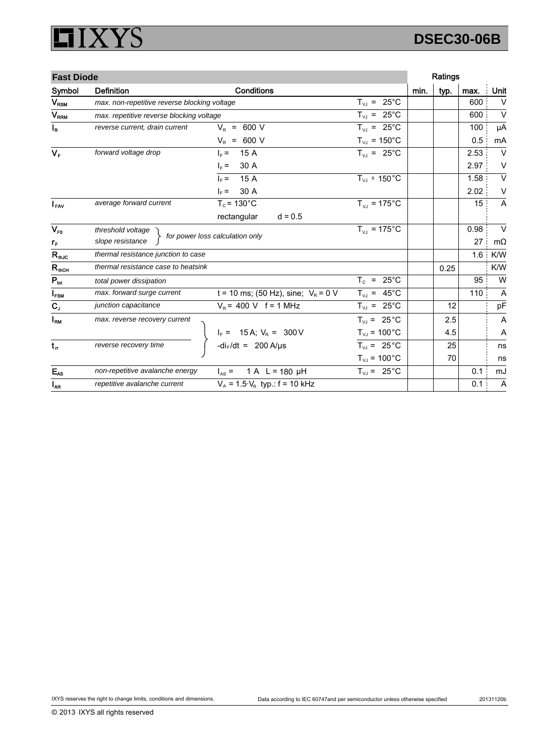### **XYS** I  $\Box$

# **DSEC30-06B**

| <b>Fast Diode</b>      |                                              |                                                                              |                                                     | Ratings |      |                  |                |
|------------------------|----------------------------------------------|------------------------------------------------------------------------------|-----------------------------------------------------|---------|------|------------------|----------------|
| Symbol                 | <b>Definition</b>                            | Conditions                                                                   |                                                     | min.    | typ. | max.             | Unit           |
| $V_{\text{RSM}}$       | max. non-repetitive reverse blocking voltage |                                                                              | $T_{VJ}$ = 25°C                                     |         |      | 600              | V              |
| <b>V<sub>RRM</sub></b> | max. repetitive reverse blocking voltage     |                                                                              | $T_{VJ} = 25^{\circ}C$                              |         |      | 600              | $\vee$         |
| $I_R$                  | reverse current, drain current               | $V_{\rm R}$ = 600 V                                                          | $T_{VJ}$ = 25°C                                     |         |      | 100              | μA             |
|                        |                                              | $V_R = 600 V$                                                                | $T_{VJ} = 150^{\circ}C$                             |         |      | 0.5              | mA             |
| $V_F$                  | forward voltage drop                         | 15 A<br>$I_F =$                                                              | $T_{VJ} = 25^{\circ}C$                              |         |      | 2.53             | $\vee$         |
|                        |                                              | 30 A<br>$\vert_{\rm F}$ =                                                    |                                                     |         |      | 2.97             | $\vee$         |
|                        |                                              | 15 A<br>$\vert_{\rm F}$ =                                                    | $T_{VJ}$ = 150 $^{\circ}$ C                         |         |      | 1.58             | $\vee$         |
|                        |                                              | 30 A<br>$\vert_{E} =$                                                        |                                                     |         |      | 2.02             | $\vee$         |
| $I_{\text{FAV}}$       | average forward current                      | $T_c$ = 130 $^{\circ}$ C                                                     | $T_{VJ} = 175^{\circ}C$                             |         |      | 15               | $\overline{A}$ |
|                        |                                              | $d = 0.5$<br>rectangular                                                     |                                                     |         |      |                  |                |
| $V_{F0}$               | threshold voltage                            |                                                                              | $T_{VJ}$ = 175°C                                    |         |      | 0.98             | $\vee$         |
| $r_{\rm F}$            | slope resistance                             | for power loss calculation only                                              |                                                     |         |      | 27               | $m\Omega$      |
| $R_{thJC}$             | thermal resistance junction to case          |                                                                              |                                                     |         |      | 1.6 <sub>1</sub> | K/W            |
| $R_{\text{thCH}}$      | thermal resistance case to heatsink          |                                                                              |                                                     |         | 0.25 |                  | K/W            |
| $P_{\text{tot}}$       | total power dissipation                      |                                                                              | $T_c = 25^{\circ}$ C                                |         |      | 95               | W              |
| $I_{FSM}$              | max. forward surge current                   | t = 10 ms; (50 Hz), sine; $V_R$ = 0 V                                        | $T_{VJ} = 45^{\circ}C$                              |         |      | 110              | A              |
| $C_{J}$                | junction capacitance                         | $V_R$ = 400 V f = 1 MHz                                                      | $T_{VJ}$ = 25°C                                     |         | 12   |                  | pF             |
| $I_{\rm RM}$           | max. reverse recovery current                |                                                                              | $T_{VJ} = 25^{\circ}C$                              |         | 2.5  |                  | A              |
|                        |                                              |                                                                              | $T_{\scriptscriptstyle\rm {VJ}}$ = 100 $^{\circ}$ C |         | 4.5  |                  | Α              |
| $t_{\rm r}$            | reverse recovery time                        | $I_F = 15 \text{ A}; V_R = 300 \text{ V}$<br>-di <sub>F</sub> /dt = 200 A/µs | $T_{VJ}$ = 25 °C                                    |         | 25   |                  | ns             |
|                        |                                              |                                                                              | $T_{\vee}$ = 100 $^{\circ}$ C                       |         | 70   |                  | ns             |
| $E_{AS}$               | non-repetitive avalanche energy              | 1 A L = 180 $\mu$ H<br>$I_{AS}$ =                                            | $T_{VJ}$ = 25 °C                                    |         |      | 0.1              | mJ             |
| $I_{AR}$               | repetitive avalanche current                 | $V_A = 1.5 \cdot V_R$ typ.: f = 10 kHz                                       |                                                     |         |      | 0.1              | $\overline{A}$ |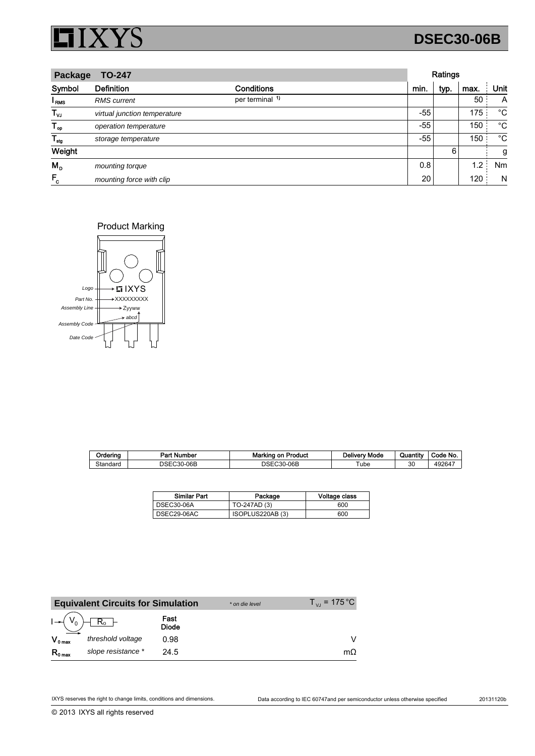

## **DSEC30-06B**

| Package<br><b>TO-247</b> |                              |                   |       | Ratings |      |      |  |
|--------------------------|------------------------------|-------------------|-------|---------|------|------|--|
| Symbol                   | <b>Definition</b>            | <b>Conditions</b> | min.  | typ.    | max. | Unit |  |
| l <sub>RMS</sub>         | <b>RMS</b> current           | per terminal 1)   |       |         | 50   | A    |  |
| $T_{\mathsf{vJ}}$        | virtual junction temperature |                   | -55   |         | 175  | °C   |  |
| $T_{op}$                 | operation temperature        |                   | $-55$ |         | 150  | °С   |  |
| $T_{\text{stg}}$         | storage temperature          |                   | -55   |         | 150  | °С   |  |
| Weight                   |                              |                   |       | 6       |      | g    |  |
| $M_{\rm p}$              | mounting torque              |                   | 0.8   |         | 1.2  | Nm   |  |
| $F_c$                    | mounting force with clip     |                   | 20    |         | 120  | N    |  |

Product Marking



| Orderina | l Number<br>∍⊶<br>. ан | <b>Marking on Product</b> | Deliverv Mode | Quantity | Code No. |
|----------|------------------------|---------------------------|---------------|----------|----------|
| Standard | <b>DSEC30-06B</b>      | EC30-06B<br>DSE           | ube           | 30       | 492647   |

| <b>Similar Part</b> | Package          | Voltage class |
|---------------------|------------------|---------------|
| DSEC30-06A          | TO-247AD (3)     | 600           |
| DSEC29-06AC         | ISOPLUS220AB (3) | 600           |

|                     | <b>Equivalent Circuits for Simulation</b> |                      | * on die level | $T_{V1}$ = 175 °C |
|---------------------|-------------------------------------------|----------------------|----------------|-------------------|
| $\vdash$            |                                           | Fast<br><b>Diode</b> |                |                   |
| $V_{0 \max}$        | threshold voltage                         | 0.98                 |                |                   |
| $R_{0 \text{ max}}$ | slope resistance *                        | 24.5                 |                | mΩ                |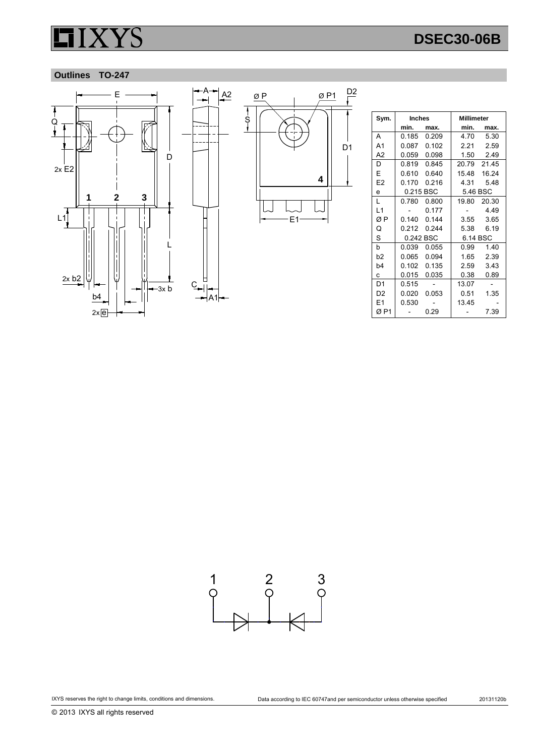# **DSEC30-06B**

### **Outlines TO-247**



| Sym.           | <b>Inches</b> |             | <b>Millimeter</b> |             |
|----------------|---------------|-------------|-------------------|-------------|
|                | min.          | max.        | min.              | max.        |
| A              | 0.185         | 0.209       | 4.70              | 5.30        |
| A <sub>1</sub> | 0.087         | 0.102       | 2.21              | 2.59        |
| A2             |               | 0.059 0.098 | 1.50              | 2.49        |
| D              | 0.819         | 0.845       |                   | 20.79 21.45 |
| E              | 0.610         | 0.640       |                   | 15.48 16.24 |
| E <sub>2</sub> | 0.170         | 0.216       |                   | 4.31 5.48   |
| e              | 0.215 BSC     |             | 5.46 BSC          |             |
| L              | 0.780         | 0.800       | 19.80             | 20.30       |
| L1             |               | 0.177       |                   | 4 4 9       |
| ØΡ             | 0 140 _       | 0.144       | 3.55              | 3.65        |
| Q              | 0.212         | 0.244       | 5.38              | 6.19        |
| S              | 0.242 BSC     |             | 6.14 BSC          |             |
| b              | 0.039         | 0.055       | 0.99              | 1.40        |
| b <sub>2</sub> | 0.065         | 0.094       | 1.65              | 2.39        |
| b4             | 0.102         | 0.135       | 2.59              | 3.43        |
| c              | 0.015         | 0.035       | 0.38              | 0.89        |
| D1             | 0.515         |             | 13.07             |             |
| D <sub>2</sub> | 0.020         | 0.053       | 0.51              | 1.35        |
| E <sub>1</sub> | 0.530         |             | 13.45             |             |
| Ø P1           |               | 0.29        |                   | 7.39        |

D<sub>1</sub>

**4**